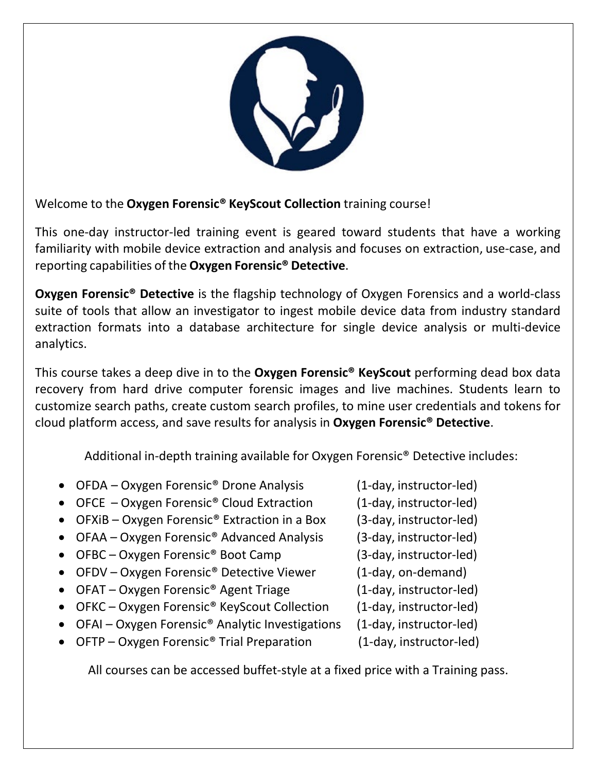

Welcome to the **Oxygen Forensic® KeyScout Collection** training course!

This one-day instructor-led training event is geared toward students that have a working familiarity with mobile device extraction and analysis and focuses on extraction, use‐case, and reporting capabilities of the **Oxygen Forensic® Detective**.

**Oxygen Forensic® Detective** is the flagship technology of Oxygen Forensics and a world‐class suite of tools that allow an investigator to ingest mobile device data from industry standard extraction formats into a database architecture for single device analysis or multi‐device analytics.

This course takes a deep dive in to the **Oxygen Forensic® KeyScout** performing dead box data recovery from hard drive computer forensic images and live machines. Students learn to customize search paths, create custom search profiles, to mine user credentials and tokens for cloud platform access, and save results for analysis in **Oxygen Forensic® Detective**.

Additional in-depth training available for Oxygen Forensic<sup>®</sup> Detective includes:

- OFDA Oxygen Forensic® Drone Analysis (1‐day, instructor‐led)
- OFCE Oxygen Forensic® Cloud Extraction (1‐day, instructor‐led)
- OFXiB Oxygen Forensic® Extraction in a Box (3‐day, instructor‐led)
- OFAA Oxygen Forensic® Advanced Analysis (3‐day, instructor‐led)
- OFBC Oxygen Forensic® Boot Camp (3‐day, instructor‐led)
- OFDV Oxygen Forensic<sup>®</sup> Detective Viewer (1-day, on-demand)
- OFAT Oxygen Forensic<sup>®</sup> Agent Triage (1-day, instructor-led)
- OFKC Oxygen Forensic<sup>®</sup> KeyScout Collection (1-day, instructor-led)
- OFAI Oxygen Forensic® Analytic Investigations (1‐day, instructor‐led)
- OFTP Oxygen Forensic® Trial Preparation (1‐day, instructor‐led)

All courses can be accessed buffet‐style at a fixed price with a Training pass.

- 
- 
- 
- 
- 
- 
- 
- 
- 
-